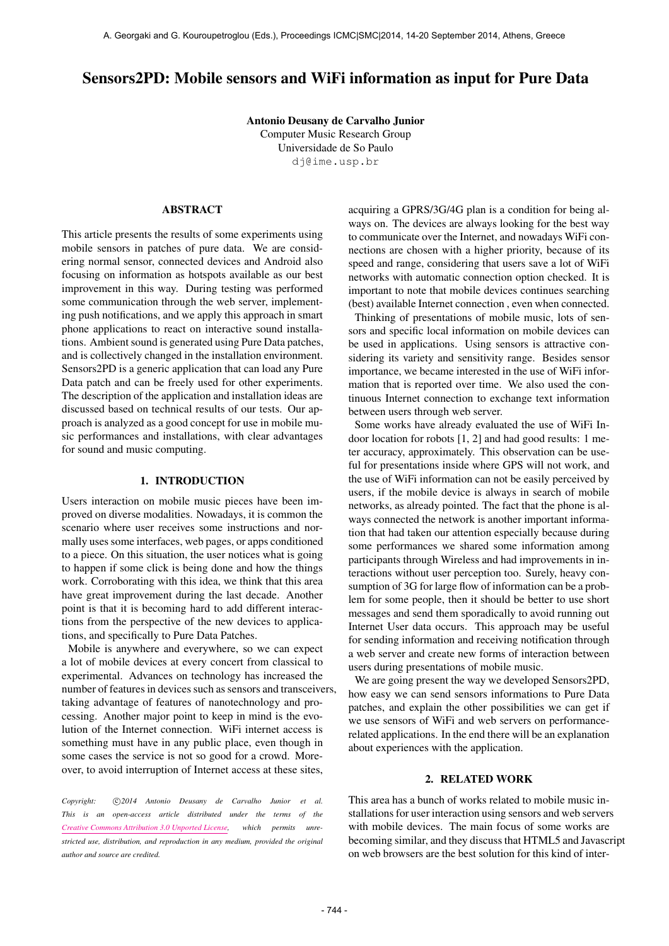# Sensors2PD: Mobile sensors and WiFi information as input for Pure Data

Antonio Deusany de Carvalho Junior Computer Music Research Group Universidade de So Paulo [dj@ime.usp.br](mailto:dj@ime.usp.br)

# ABSTRACT

This article presents the results of some experiments using mobile sensors in patches of pure data. We are considering normal sensor, connected devices and Android also focusing on information as hotspots available as our best improvement in this way. During testing was performed some communication through the web server, implementing push notifications, and we apply this approach in smart phone applications to react on interactive sound installations. Ambient sound is generated using Pure Data patches, and is collectively changed in the installation environment. Sensors2PD is a generic application that can load any Pure Data patch and can be freely used for other experiments. The description of the application and installation ideas are discussed based on technical results of our tests. Our approach is analyzed as a good concept for use in mobile music performances and installations, with clear advantages for sound and music computing.

#### 1. INTRODUCTION

Users interaction on mobile music pieces have been improved on diverse modalities. Nowadays, it is common the scenario where user receives some instructions and normally uses some interfaces, web pages, or apps conditioned to a piece. On this situation, the user notices what is going to happen if some click is being done and how the things work. Corroborating with this idea, we think that this area have great improvement during the last decade. Another point is that it is becoming hard to add different interactions from the perspective of the new devices to applications, and specifically to Pure Data Patches.

Mobile is anywhere and everywhere, so we can expect a lot of mobile devices at every concert from classical to experimental. Advances on technology has increased the number of features in devices such as sensors and transceivers, taking advantage of features of nanotechnology and processing. Another major point to keep in mind is the evolution of the Internet connection. WiFi internet access is something must have in any public place, even though in some cases the service is not so good for a crowd. Moreover, to avoid interruption of Internet access at these sites,

Copyright:  $\bigcirc$  2014 Antonio Deusany de Carvalho Junior et al. *This is an open-access article distributed under the terms of the [Creative Commons Attribution 3.0 Unported License,](http://creativecommons.org/licenses/by/3.0/) which permits unrestricted use, distribution, and reproduction in any medium, provided the original author and source are credited.*

acquiring a GPRS/3G/4G plan is a condition for being always on. The devices are always looking for the best way to communicate over the Internet, and nowadays WiFi connections are chosen with a higher priority, because of its speed and range, considering that users save a lot of WiFi networks with automatic connection option checked. It is important to note that mobile devices continues searching (best) available Internet connection , even when connected.

Thinking of presentations of mobile music, lots of sensors and specific local information on mobile devices can be used in applications. Using sensors is attractive considering its variety and sensitivity range. Besides sensor importance, we became interested in the use of WiFi information that is reported over time. We also used the continuous Internet connection to exchange text information between users through web server.

Some works have already evaluated the use of WiFi Indoor location for robots [1, 2] and had good results: 1 meter accuracy, approximately. This observation can be useful for presentations inside where GPS will not work, and the use of WiFi information can not be easily perceived by users, if the mobile device is always in search of mobile networks, as already pointed. The fact that the phone is always connected the network is another important information that had taken our attention especially because during some performances we shared some information among participants through Wireless and had improvements in interactions without user perception too. Surely, heavy consumption of 3G for large flow of information can be a problem for some people, then it should be better to use short messages and send them sporadically to avoid running out Internet User data occurs. This approach may be useful for sending information and receiving notification through a web server and create new forms of interaction between users during presentations of mobile music.

We are going present the way we developed Sensors2PD, how easy we can send sensors informations to Pure Data patches, and explain the other possibilities we can get if we use sensors of WiFi and web servers on performancerelated applications. In the end there will be an explanation about experiences with the application.

## 2. RELATED WORK

This area has a bunch of works related to mobile music installations for user interaction using sensors and web servers with mobile devices. The main focus of some works are becoming similar, and they discuss that HTML5 and Javascript on web browsers are the best solution for this kind of inter-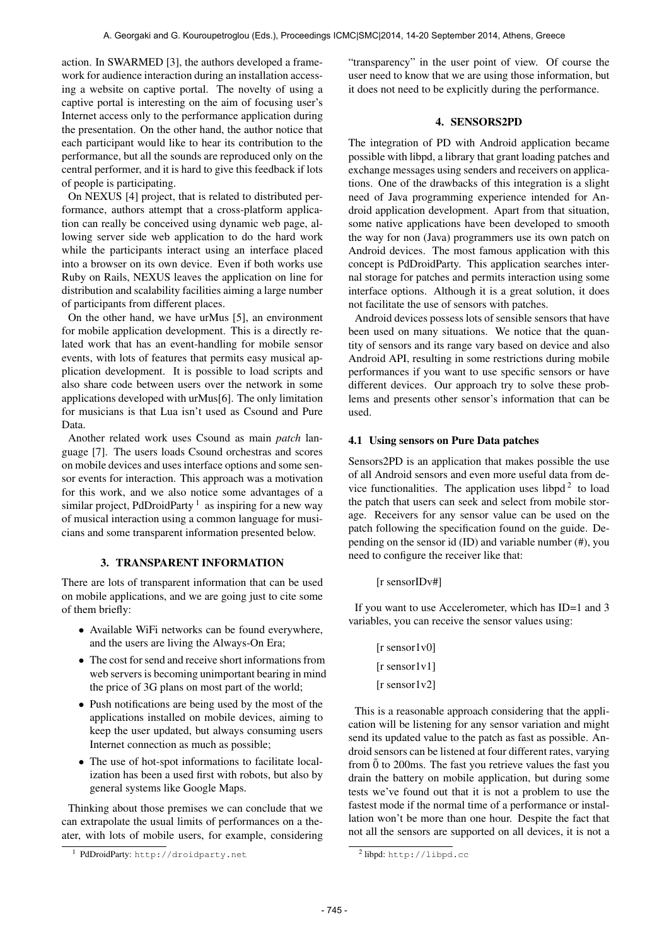action. In SWARMED [3], the authors developed a framework for audience interaction during an installation accessing a website on captive portal. The novelty of using a captive portal is interesting on the aim of focusing user's Internet access only to the performance application during the presentation. On the other hand, the author notice that each participant would like to hear its contribution to the performance, but all the sounds are reproduced only on the central performer, and it is hard to give this feedback if lots of people is participating.

On NEXUS [4] project, that is related to distributed performance, authors attempt that a cross-platform application can really be conceived using dynamic web page, allowing server side web application to do the hard work while the participants interact using an interface placed into a browser on its own device. Even if both works use Ruby on Rails, NEXUS leaves the application on line for distribution and scalability facilities aiming a large number of participants from different places.

On the other hand, we have urMus [5], an environment for mobile application development. This is a directly related work that has an event-handling for mobile sensor events, with lots of features that permits easy musical application development. It is possible to load scripts and also share code between users over the network in some applications developed with urMus[6]. The only limitation for musicians is that Lua isn't used as Csound and Pure Data.

Another related work uses Csound as main *patch* language [7]. The users loads Csound orchestras and scores on mobile devices and uses interface options and some sensor events for interaction. This approach was a motivation for this work, and we also notice some advantages of a similar project, PdDroidParty  $<sup>1</sup>$  as inspiring for a new way</sup> of musical interaction using a common language for musicians and some transparent information presented below.

## 3. TRANSPARENT INFORMATION

There are lots of transparent information that can be used on mobile applications, and we are going just to cite some of them briefly:

- Available WiFi networks can be found everywhere, and the users are living the Always-On Era;
- The cost for send and receive short informations from web servers is becoming unimportant bearing in mind the price of 3G plans on most part of the world;
- Push notifications are being used by the most of the applications installed on mobile devices, aiming to keep the user updated, but always consuming users Internet connection as much as possible;
- The use of hot-spot informations to facilitate localization has been a used first with robots, but also by general systems like Google Maps.

Thinking about those premises we can conclude that we can extrapolate the usual limits of performances on a theater, with lots of mobile users, for example, considering "transparency" in the user point of view. Of course the user need to know that we are using those information, but it does not need to be explicitly during the performance.

# 4. SENSORS2PD

The integration of PD with Android application became possible with libpd, a library that grant loading patches and exchange messages using senders and receivers on applications. One of the drawbacks of this integration is a slight need of Java programming experience intended for Android application development. Apart from that situation, some native applications have been developed to smooth the way for non (Java) programmers use its own patch on Android devices. The most famous application with this concept is PdDroidParty. This application searches internal storage for patches and permits interaction using some interface options. Although it is a great solution, it does not facilitate the use of sensors with patches.

Android devices possess lots of sensible sensors that have been used on many situations. We notice that the quantity of sensors and its range vary based on device and also Android API, resulting in some restrictions during mobile performances if you want to use specific sensors or have different devices. Our approach try to solve these problems and presents other sensor's information that can be used.

## 4.1 Using sensors on Pure Data patches

Sensors2PD is an application that makes possible the use of all Android sensors and even more useful data from device functionalities. The application uses libpd<sup>2</sup> to load the patch that users can seek and select from mobile storage. Receivers for any sensor value can be used on the patch following the specification found on the guide. Depending on the sensor id (ID) and variable number (#), you need to configure the receiver like that:

[r sensorIDv#]

If you want to use Accelerometer, which has ID=1 and 3 variables, you can receive the sensor values using:

> [r sensor1v0] [r sensor1v1] [r sensor1v2]

This is a reasonable approach considering that the application will be listening for any sensor variation and might send its updated value to the patch as fast as possible. Android sensors can be listened at four different rates, varying from  $\ddot{0}$  to 200ms. The fast you retrieve values the fast you drain the battery on mobile application, but during some tests we've found out that it is not a problem to use the fastest mode if the normal time of a performance or installation won't be more than one hour. Despite the fact that not all the sensors are supported on all devices, it is not a

<sup>1</sup> PdDroidParty: <http://droidparty.net>

<sup>&</sup>lt;sup>2</sup>libpd: <http://libpd.cc>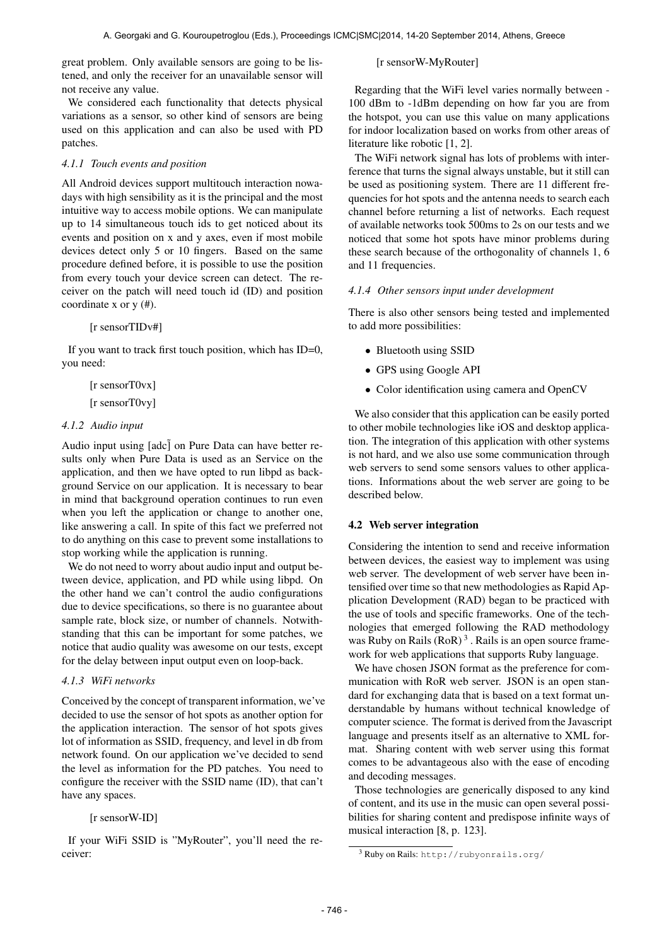great problem. Only available sensors are going to be listened, and only the receiver for an unavailable sensor will not receive any value.

We considered each functionality that detects physical variations as a sensor, so other kind of sensors are being used on this application and can also be used with PD patches.

#### *4.1.1 Touch events and position*

All Android devices support multitouch interaction nowadays with high sensibility as it is the principal and the most intuitive way to access mobile options. We can manipulate up to 14 simultaneous touch ids to get noticed about its events and position on x and y axes, even if most mobile devices detect only 5 or 10 fingers. Based on the same procedure defined before, it is possible to use the position from every touch your device screen can detect. The receiver on the patch will need touch id (ID) and position coordinate x or y (#).

#### [r sensorTIDv#]

If you want to track first touch position, which has ID=0, you need:

> [r sensorT0vx] [r sensorT0vy]

#### *4.1.2 Audio input*

Audio input using  $[a \, d c]$  on Pure Data can have better results only when Pure Data is used as an Service on the application, and then we have opted to run libpd as background Service on our application. It is necessary to bear in mind that background operation continues to run even when you left the application or change to another one, like answering a call. In spite of this fact we preferred not to do anything on this case to prevent some installations to stop working while the application is running.

We do not need to worry about audio input and output between device, application, and PD while using libpd. On the other hand we can't control the audio configurations due to device specifications, so there is no guarantee about sample rate, block size, or number of channels. Notwithstanding that this can be important for some patches, we notice that audio quality was awesome on our tests, except for the delay between input output even on loop-back.

#### *4.1.3 WiFi networks*

Conceived by the concept of transparent information, we've decided to use the sensor of hot spots as another option for the application interaction. The sensor of hot spots gives lot of information as SSID, frequency, and level in db from network found. On our application we've decided to send the level as information for the PD patches. You need to configure the receiver with the SSID name (ID), that can't have any spaces.

# [r sensorW-ID]

If your WiFi SSID is "MyRouter", you'll need the receiver:

[r sensorW-MyRouter]

Regarding that the WiFi level varies normally between - 100 dBm to -1dBm depending on how far you are from the hotspot, you can use this value on many applications for indoor localization based on works from other areas of literature like robotic [1, 2].

The WiFi network signal has lots of problems with interference that turns the signal always unstable, but it still can be used as positioning system. There are 11 different frequencies for hot spots and the antenna needs to search each channel before returning a list of networks. Each request of available networks took 500ms to 2s on our tests and we noticed that some hot spots have minor problems during these search because of the orthogonality of channels 1, 6 and 11 frequencies.

#### *4.1.4 Other sensors input under development*

There is also other sensors being tested and implemented to add more possibilities:

- Bluetooth using SSID
- GPS using Google API
- Color identification using camera and OpenCV

We also consider that this application can be easily ported to other mobile technologies like iOS and desktop application. The integration of this application with other systems is not hard, and we also use some communication through web servers to send some sensors values to other applications. Informations about the web server are going to be described below.

#### 4.2 Web server integration

Considering the intention to send and receive information between devices, the easiest way to implement was using web server. The development of web server have been intensified over time so that new methodologies as Rapid Application Development (RAD) began to be practiced with the use of tools and specific frameworks. One of the technologies that emerged following the RAD methodology was Ruby on Rails  $(RoR)<sup>3</sup>$ . Rails is an open source framework for web applications that supports Ruby language.

We have chosen JSON format as the preference for communication with RoR web server. JSON is an open standard for exchanging data that is based on a text format understandable by humans without technical knowledge of computer science. The format is derived from the Javascript language and presents itself as an alternative to XML format. Sharing content with web server using this format comes to be advantageous also with the ease of encoding and decoding messages.

Those technologies are generically disposed to any kind of content, and its use in the music can open several possibilities for sharing content and predispose infinite ways of musical interaction [8, p. 123].

<sup>3</sup> Ruby on Rails: <http://rubyonrails.org/>